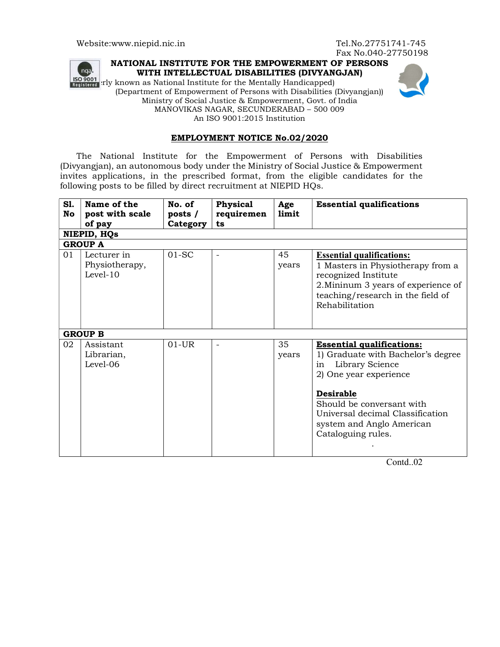

## NATIONAL INSTITUTE FOR THE EMPOWERMENT OF PERSONS WITH INTELLECTUAL DISABILITIES (DIVYANGJAN)

(FO 9001) Figures and Mational Institute for the Mentally Handicapped) (Department of Empowerment of Persons with Disabilities (Divyangjan)) Ministry of Social Justice & Empowerment, Govt. of India MANOVIKAS NAGAR, SECUNDERABAD – 500 009 An ISO 9001:2015 Institution



## EMPLOYMENT NOTICE No.02/2020

The National Institute for the Empowerment of Persons with Disabilities (Divyangjan), an autonomous body under the Ministry of Social Justice & Empowerment invites applications, in the prescribed format, from the eligible candidates for the following posts to be filled by direct recruitment at NIEPID HQs.

| Sl.<br>No      | Name of the<br>post with scale<br>of pay    | No. of<br>posts $/$<br>Category | Physical<br>requiremen<br>ts | Age<br>limit | <b>Essential qualifications</b>                                                                                                                                                                                                                                   |
|----------------|---------------------------------------------|---------------------------------|------------------------------|--------------|-------------------------------------------------------------------------------------------------------------------------------------------------------------------------------------------------------------------------------------------------------------------|
| NIEPID, HQs    |                                             |                                 |                              |              |                                                                                                                                                                                                                                                                   |
| <b>GROUP A</b> |                                             |                                 |                              |              |                                                                                                                                                                                                                                                                   |
| 01             | Lecturer in<br>Physiotherapy,<br>$Level-10$ | $01-SC$                         | $\blacksquare$               | 45<br>years  | <b>Essential qualifications:</b><br>1 Masters in Physiotherapy from a<br>recognized Institute<br>2. Mininum 3 years of experience of<br>teaching/research in the field of<br>Rehabilitation                                                                       |
| <b>GROUP B</b> |                                             |                                 |                              |              |                                                                                                                                                                                                                                                                   |
| 02             | Assistant<br>Librarian,<br>Level-06         | $01$ -UR                        | $\qquad \qquad -$            | 35<br>years  | <b>Essential qualifications:</b><br>1) Graduate with Bachelor's degree<br>Library Science<br>in<br>2) One year experience<br><b>Desirable</b><br>Should be conversant with<br>Universal decimal Classification<br>system and Anglo American<br>Cataloguing rules. |

Contd..02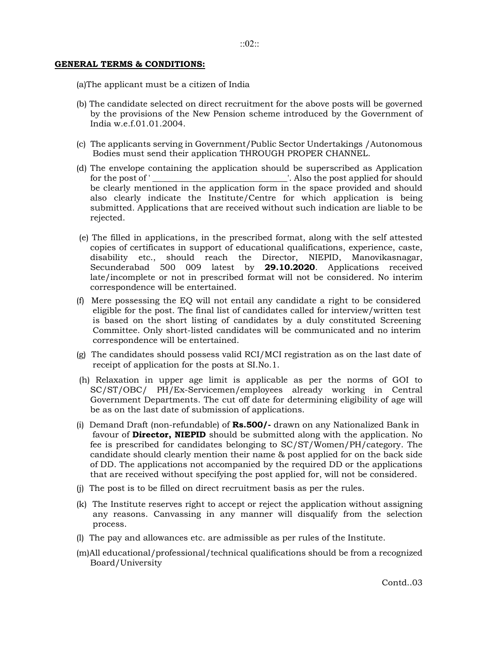## GENERAL TERMS & CONDITIONS:

(a)The applicant must be a citizen of India

- (b) The candidate selected on direct recruitment for the above posts will be governed by the provisions of the New Pension scheme introduced by the Government of India w.e.f.01.01.2004.
- (c) The applicants serving in Government/Public Sector Undertakings /Autonomous Bodies must send their application THROUGH PROPER CHANNEL.
- (d) The envelope containing the application should be superscribed as Application for the post of '\_\_\_\_\_\_\_\_\_\_\_\_\_\_\_\_\_\_\_\_\_\_\_\_\_\_\_\_\_\_\_\_\_'. Also the post applied for should be clearly mentioned in the application form in the space provided and should also clearly indicate the Institute/Centre for which application is being submitted. Applications that are received without such indication are liable to be rejected.
- (e) The filled in applications, in the prescribed format, along with the self attested copies of certificates in support of educational qualifications, experience, caste, disability etc., should reach the Director, NIEPID, Manovikasnagar, Secunderabad 500 009 latest by 29.10.2020. Applications received late/incomplete or not in prescribed format will not be considered. No interim correspondence will be entertained.
- (f) Mere possessing the EQ will not entail any candidate a right to be considered eligible for the post. The final list of candidates called for interview/written test is based on the short listing of candidates by a duly constituted Screening Committee. Only short-listed candidates will be communicated and no interim correspondence will be entertained.
- (g) The candidates should possess valid RCI/MCI registration as on the last date of receipt of application for the posts at SI.No.1.
- (h) Relaxation in upper age limit is applicable as per the norms of GOI to SC/ST/OBC/ PH/Ex-Servicemen/employees already working in Central Government Departments. The cut off date for determining eligibility of age will be as on the last date of submission of applications.
- (i) Demand Draft (non-refundable) of  $\text{Rs.}500/-$  drawn on any Nationalized Bank in favour of Director, NIEPID should be submitted along with the application. No fee is prescribed for candidates belonging to SC/ST/Women/PH/category. The candidate should clearly mention their name & post applied for on the back side of DD. The applications not accompanied by the required DD or the applications that are received without specifying the post applied for, will not be considered.
- (j) The post is to be filled on direct recruitment basis as per the rules.
- (k) The Institute reserves right to accept or reject the application without assigning any reasons. Canvassing in any manner will disqualify from the selection process.
- (l) The pay and allowances etc. are admissible as per rules of the Institute.
- (m)All educational/professional/technical qualifications should be from a recognized Board/University